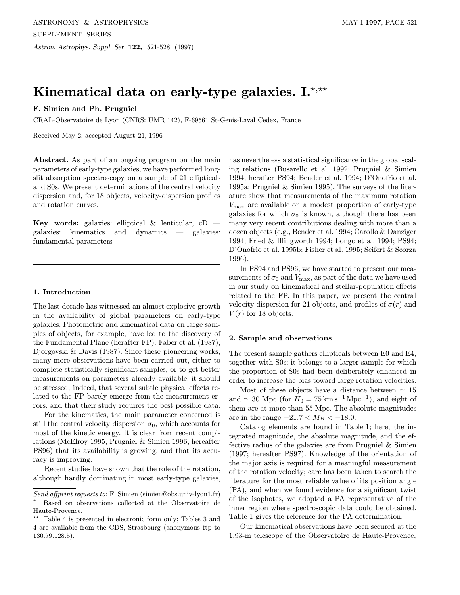# Kinematical data on early-type galaxies.  $\mathbf{I}^{\star,\star\star}$

# F. Simien and Ph. Prugniel

CRAL-Observatoire de Lyon (CNRS: UMR 142), F-69561 St-Genis-Laval Cedex, France

Received May 2; accepted August 21, 1996

Abstract. As part of an ongoing program on the main parameters of early-type galaxies, we have performed longslit absorption spectroscopy on a sample of 21 ellipticals and S0s. We present determinations of the central velocity dispersion and, for 18 objects, velocity-dispersion profiles and rotation curves.

Key words: galaxies: elliptical  $\&$  lenticular, cD galaxies: kinematics and dynamics — galaxies: fundamental parameters

## 1. Introduction

The last decade has witnessed an almost explosive growth in the availability of global parameters on early-type galaxies. Photometric and kinematical data on large samples of objects, for example, have led to the discovery of the Fundamental Plane (herafter FP): Faber et al. (1987), Djorgovski & Davis (1987). Since these pioneering works, many more observations have been carried out, either to complete statistically significant samples, or to get better measurements on parameters already available; it should be stressed, indeed, that several subtle physical effects related to the FP barely emerge from the measurement errors, and that their study requires the best possible data.

For the kinematics, the main parameter concerned is still the central velocity dispersion  $\sigma_0$ , which accounts for most of the kinetic energy. It is clear from recent compilations (McElroy 1995; Prugniel & Simien 1996, hereafter PS96) that its availability is growing, and that its accuracy is improving.

Recent studies have shown that the role of the rotation, although hardly dominating in most early-type galaxies, has nevertheless a statistical significance in the global scaling relations (Busarello et al. 1992; Prugniel & Simien 1994, herafter PS94; Bender et al. 1994; D'Onofrio et al. 1995a; Prugniel & Simien 1995). The surveys of the literature show that measurements of the maximum rotation  $V_{\text{max}}$  are available on a modest proportion of early-type galaxies for which  $\sigma_0$  is known, although there has been many very recent contributions dealing with more than a dozen objects (e.g., Bender et al. 1994; Carollo & Danziger 1994; Fried & Illingworth 1994; Longo et al. 1994; PS94; D'Onofrio et al. 1995b; Fisher et al. 1995; Seifert & Scorza 1996).

In PS94 and PS96, we have started to present our measurements of  $\sigma_0$  and  $V_{\text{max}}$ , as part of the data we have used in our study on kinematical and stellar-population effects related to the FP. In this paper, we present the central velocity dispersion for 21 objects, and profiles of  $\sigma(r)$  and  $V(r)$  for 18 objects.

## 2. Sample and observations

The present sample gathers ellipticals between E0 and E4, together with S0s; it belongs to a larger sample for which the proportion of S0s had been deliberately enhanced in order to increase the bias toward large rotation velocities.

Most of these objects have a distance between  $\simeq 15$ and  $\simeq 30$  Mpc (for  $H_0 = 75 \,\mathrm{km \, s^{-1} \, Mpc^{-1}}$ ), and eight of them are at more than 55 Mpc. The absolute magnitudes are in the range  $-21.7 < M_B < -18.0$ .

Catalog elements are found in Table 1; here, the integrated magnitude, the absolute magnitude, and the effective radius of the galaxies are from Prugniel & Simien (1997; hereafter PS97). Knowledge of the orientation of the major axis is required for a meaningful measurement of the rotation velocity; care has been taken to search the literature for the most reliable value of its position angle (PA), and when we found evidence for a significant twist of the isophotes, we adopted a PA representative of the inner region where spectroscopic data could be obtained. Table 1 gives the reference for the PA determination.

Our kinematical observations have been secured at the 1.93-m telescope of the Observatoire de Haute-Provence,

Send offprint requests to: F. Simien (simien@obs.univ-lyon1.fr) ? Based on observations collected at the Observatoire de Haute-Provence.

Table 4 is presented in electronic form only; Tables 3 and 4 are available from the CDS, Strasbourg (anonymous ftp to 130.79.128.5).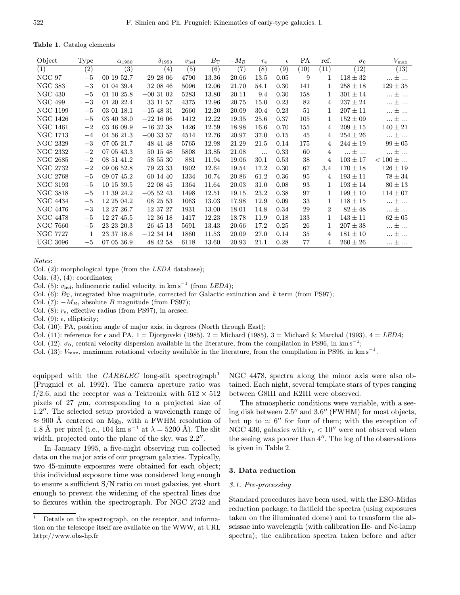Table 1. Catalog elements

| Object                      | <b>Type</b>  | $\alpha_{1950}$ | $\delta_{1950}$   | $v_{\rm hel}$ | $B_{\rm T}$ | $-M_B$            | $r_{\rm e}$ | $\epsilon$       | PA   | ref. | $\sigma_0$   | $V_{\rm max}$           |
|-----------------------------|--------------|-----------------|-------------------|---------------|-------------|-------------------|-------------|------------------|------|------|--------------|-------------------------|
| (1)                         | (2)          | (3)             | $\left( 4\right)$ | (5)           | (6)         | $\left( 7\right)$ | (8)         | $\overline{(9)}$ | (10) | (11) | (12)         | $\left(13\right)$       |
| $\overline{\text{NGC } 97}$ | $-5$         | 00 19 52.7      | 29 28 06          | 4790          | 13.36       | 20.66             | 13.5        | 0.05             | 9    | 1    | $118 \pm 32$ | $ \pm $                 |
| <b>NGC 383</b>              | $-3$         | 01 04 39.4      | 32 08 46          | 5096          | 12.06       | 21.70             | 54.1        | 0.30             | 141  | 1    | $258 \pm 18$ | $129 \pm 35$            |
| <b>NGC 430</b>              | $-5$         | 01 10 25.8      | $-003102$         | 5283          | 13.80       | 20.11             | 9.4         | 0.30             | 158  | 1    | $301 \pm 14$ | $ \pm $                 |
| <b>NGC 499</b>              | $-3$         | 01 20 22.4      | 33 11 57          | 4375          | 12.96       | 20.75             | 15.0        | 0.23             | 82   | 4    | $237 \pm 24$ | $\ldots$ $\pm$ $\ldots$ |
| <b>NGC 1199</b>             | $-5$         | 03 01 18.1      | $-154831$         | 2660          | 12.20       | 20.09             | 30.4        | 0.23             | 51   | 1    | $207 \pm 11$ | $\ldots \pm \ldots$     |
| <b>NGC 1426</b>             | $-5$         | 03 40 38.0      | $-221606$         | 1412          | 12.22       | 19.35             | 25.6        | 0.37             | 105  | 1    | $152 \pm 09$ | $\ldots$ $\pm$ $\ldots$ |
| <b>NGC 1461</b>             | $-2$         | 03 46 09.9      | $-163238$         | 1426          | 12.59       | 18.98             | 16.6        | 0.70             | 155  | 4    | $209 \pm 15$ | $140 \pm 21$            |
| <b>NGC 1713</b>             | $-4$         | 04 56 21.3      | $-003357$         | 4514          | 12.76       | 20.97             | 37.0        | 0.15             | 45   | 4    | $254 \pm 26$ | $$ $\pm$ $$             |
| <b>NGC 2329</b>             | $-3$         | 07 05 21.7      | 48 41 48          | 5765          | 12.98       | 21.29             | 21.5        | 0.14             | 175  | 4    | $244 \pm 19$ | $99 \pm 05$             |
| NGC 2332                    | $-2$         | 07 05 43.3      | 50 15 48          | 5808          | 13.85       | 21.08             | $\ddots$    | 0.33             | 60   | 4    | ±            | $\ldots \pm \ldots$     |
| <b>NGC 2685</b>             | $-2$         | 08 51 41.2      | 58 55 30          | 881           | 11.94       | 19.06             | 30.1        | 0.53             | 38   | 4    | $103 \pm 17$ | $< 100 \pm $            |
| NGC 2732                    | $-2$         | 09 06 52.8      | 79 23 33          | 1902          | 12.64       | 19.54             | 17.2        | 0.30             | 67   | 3,4  | $170 \pm 18$ | $126 \pm 19$            |
| <b>NGC 2768</b>             | $-5$         | 09 07 45.2      | 60 14 40          | 1334          | 10.74       | 20.86             | 61.2        | 0.36             | 95   | 4    | $193\pm11$   | $78 \pm 34$             |
| NGC 3193                    | $-5$         | 10 15 39.5      | 22 08 45          | 1364          | 11.64       | 20.03             | 31.0        | 0.08             | 93   | 1    | $193 \pm 14$ | $80 \pm 13$             |
| <b>NGC 3818</b>             | $-5$         | 11 39 24.2      | $-055243$         | 1498          | 12.51       | 19.15             | 23.2        | 0.38             | 97   | 1    | $199 \pm 10$ | $114 \pm 07$            |
| <b>NGC 4434</b>             | $-5$         | 12 25 04.2      | 08 25 53          | 1063          | 13.03       | 17.98             | 12.9        | 0.09             | 33   | 1    | $118 \pm 15$ | $ \pm $                 |
| <b>NGC 4476</b>             | $-3$         | 12 27 26.7      | 12 37 27          | 1931          | 13.00       | 18.01             | 14.8        | 0.34             | 29   | 2    | $82 \pm 48$  | $\ldots \pm \ldots$     |
| <b>NGC 4478</b>             | $-5$         | 12 27 45.5      | 12 36 18          | 1417          | 12.23       | 18.78             | 11.9        | 0.18             | 133  | 1    | $143 \pm 11$ | $62 \pm 05$             |
| <b>NGC 7660</b>             | $-5$         | 23 23 20.3      | 26 45 13          | 5691          | 13.43       | 20.66             | 17.2        | 0.25             | 26   | 1    | $207 \pm 38$ | $ \pm $                 |
| <b>NGC 7727</b>             | $\mathbf{1}$ | 23 37 18.6      | $-123414$         | 1860          | 11.53       | 20.09             | 27.0        | 0.14             | 35   | 4    | $181 \pm 10$ | $ \pm $                 |
| <b>UGC 3696</b>             | $-5$         | 07 05 36.9      | 48 42 58          | 6118          | 13.60       | 20.93             | 21.1        | 0.28             | 77   | 4    | $260 \pm 26$ | ±                       |

Notes:

Col. (2): morphological type (from the LEDA database);

Cols. (3), (4): coordinates;

Col. (5):  $v_{hel}$ , heliocentric radial velocity, in km s<sup>-1</sup> (from LEDA);

Col. (6):  $B_T$ , integrated blue magnitude, corrected for Galactic extinction and k term (from PS97);

Col. (7):  $-M_B$ , absolute B magnitude (from PS97);

Col.  $(8)$ :  $r_e$ , effective radius (from PS97), in arcsec;

Col. (9):  $\epsilon$ , ellipticity;

Col. (10): PA, position angle of major axis, in degrees (North through East);

Col. (11): reference for  $\epsilon$  and PA, 1 = Djorgovski (1985), 2 = Michard (1985), 3 = Michard & Marchal (1993), 4 = LEDA;

Col. (12):  $\sigma_0$ , central velocity dispersion available in the literature, from the compilation in PS96, in km s<sup>-1</sup>;

Col. (13):  $V_{\text{max}}$ , maximum rotational velocity available in the literature, from the compilation in PS96, in km s<sup>−1</sup>.

equipped with the  $CARELEC$  long-slit spectrograph<sup>1</sup> (Prugniel et al. 1992). The camera aperture ratio was f/2.6, and the receptor was a Tektronix with  $512 \times 512$ pixels of 27  $\mu$ m, corresponding to a projected size of 1.2". The selected setup provided a wavelength range of  $\approx 900$  Å centered on Mg<sub>b</sub>, with a FWHM resolution of 1.8 Å per pixel (i.e., 104 km s<sup>-1</sup> at  $\lambda = 5200$  Å). The slit width, projected onto the plane of the sky, was  $2.2$ ".

In January 1995, a five-night observing run collected data on the major axis of our program galaxies. Typically, two 45-minute exposures were obtained for each object; this individual exposure time was considered long enough to ensure a sufficient S/N ratio on most galaxies, yet short enough to prevent the widening of the spectral lines due to flexures within the spectrograph. For NGC 2732 and

<sup>1</sup> Details on the spectrograph, on the receptor, and information on the telescope itself are available on the WWW, at URL http://www.obs-hp.fr

NGC 4478, spectra along the minor axis were also obtained. Each night, several template stars of types ranging between G8III and K2III were observed.

The atmospheric conditions were variable, with a seeing disk between  $2.5$ " and  $3.6$ " (FWHM) for most objects, but up to  $\simeq 6''$  for four of them; with the exception of NGC 430, galaxies with  $r_{\rm e} < 10''$  were not observed when the seeing was poorer than  $4^{\prime\prime}$ . The log of the observations is given in Table 2.

## 3. Data reduction

## 3.1. Pre-processing

Standard procedures have been used, with the ESO-Midas reduction package, to flatfield the spectra (using exposures taken on the illuminated dome) and to transform the abscissae into wavelength (with calibration He- and Ne-lamp spectra); the calibration spectra taken before and after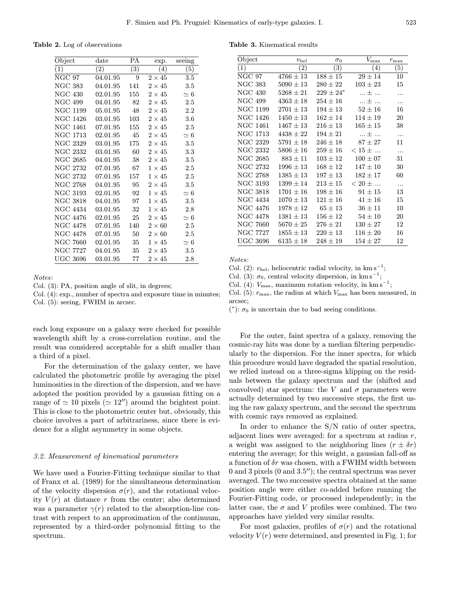Table 2. Log of observations

| Object          | $_{\rm date}$     | РA         | exp.          | seeing     |
|-----------------|-------------------|------------|---------------|------------|
| (1)             | $\left( 2\right)$ | $\bar{3})$ | (4)           | $\bar{5})$ |
| NGC 97          | 04.01.95          | 9          | $2\times 45$  | 3.5        |
| <b>NGC 383</b>  | 04.01.95          | 141        | $2\times 45$  | $3.5\,$    |
| <b>NGC 430</b>  | 02.01.95          | 155        | $2\times 45$  | $\simeq 6$ |
| NGC 499         | 04.01.95          | 82         | $2\times 45$  | 2.5        |
| NGC 1199        | 05.01.95          | 48         | $2\times 45$  | $2.2\,$    |
| <b>NGC 1426</b> | 03.01.95          | 103        | $2\times 45$  | 3.6        |
| NGC 1461        | 07.01.95          | 155        | $2\times 45$  | 2.5        |
| NGC 1713        | 02.01.95          | 45         | $2\times 45$  | $\simeq 6$ |
| <b>NGC 2329</b> | 03.01.95          | 175        | $2\times 45$  | 3.5        |
| NGC 2332        | 03.01.95          | 60         | $2\times 45$  | 3.3        |
| <b>NGC 2685</b> | 04.01.95          | 38         | $2\times 45$  | $3.5\,$    |
| NGC 2732        | 07.01.95          | 67         | $1 \times 45$ | $2.5\,$    |
| NGC 2732        | 07.01.95          | 157        | $1 \times 45$ | $2.5\,$    |
| NGC 2768        | 04.01.95          | 95         | $2\times 45$  | $3.5\,$    |
| NGC 3193        | 02.01.95          | 92         | $1\times 45$  | $\simeq 6$ |
| NGC 3818        | 04.01.95          | 97         | $1\times 45$  | 3.5        |
| NGC 4434        | 03.01.95          | 32         | $1\times 45$  | 2.8        |
| <b>NGC 4476</b> | 02.01.95          | 25         | $2 \times 45$ | $\simeq 6$ |
| <b>NGC 4478</b> | 07.01.95          | 140        | $2\times60$   | 2.5        |
| <b>NGC 4478</b> | 07.01.95          | 50         | $2\times60$   | $2.5\,$    |
| <b>NGC 7660</b> | 02.01.95          | 35         | $1 \times 45$ | $\simeq 6$ |
| NGC 7727        | 04.01.95          | 35         | $2\times 45$  | $3.5\,$    |
| <b>UGC 3696</b> | 03.01.95          | 77         | $2\times 45$  | 2.8        |

Notes:

Col. (3): PA, position angle of slit, in degrees;

Col. (4): exp., number of spectra and exposure time in minutes; Col. (5): seeing, FWHM in arcsec.

each long exposure on a galaxy were checked for possible wavelength shift by a cross-correlation routine, and the result was considered acceptable for a shift smaller than a third of a pixel.

For the determination of the galaxy center, we have calculated the photometric profile by averaging the pixel luminosities in the direction of the dispersion, and we have adopted the position provided by a gaussian fitting on a range of  $\simeq 10$  pixels ( $\simeq 12''$ ) around the brightest point. This is close to the photometric center but, obviously, this choice involves a part of arbitrariness, since there is evidence for a slight asymmetry in some objects.

#### 3.2. Measurement of kinematical parameters

We have used a Fourier-Fitting technique similar to that of Franx et al. (1989) for the simultaneous determination of the velocity dispersion  $\sigma(r)$ , and the rotational velocity  $V(r)$  at distance r from the center; also determined was a parameter  $\gamma(r)$  related to the absorption-line contrast with respect to an approximation of the continuum, represented by a third-order polynomial fitting to the spectrum.

Table 3. Kinematical results

| Object          | $v_{\rm hel}$     | $\sigma_0$     | $V_{\rm max}$     | $r_{\rm max}$ |
|-----------------|-------------------|----------------|-------------------|---------------|
| (1)             | $\left( 2\right)$ | (3)            | (4)               | (5)           |
| $NGC$ 97        | $4766 \pm 13$     | $188 \pm 15$   | $29 \pm 14$       | 10            |
| NGC 383         | $5090 \pm 13$     | $280\pm22$     | $103 \pm 23$      | 15            |
| NGC 430         | $5268 \pm 21$     | $229\pm24{}^*$ | … 士<br>$\dddotsc$ | .             |
| NGC 499         | $4363 \pm 18$     | $254 \pm 16$   | $$ $\pm$ $$       | .             |
| NGC 1199        | $2701 \pm 13$     | $194\pm13$     | $52 \pm 16$       | 16            |
| NGC 1426        | $1450 \pm 13$     | $162 + 14$     | $114 + 19$        | 20            |
| NGC 1461        | $1467 \pm 13$     | $216 \pm 13$   | $165 \pm 15$      | 38            |
| NGC 1713        | $4438 \pm 22$     | $194 + 21$     | +<br>$\ddotsc$    | $\cdots$      |
| <b>NGC 2329</b> | $5791 \pm 18$     | $246 \pm 18$   | $87\pm27$         | 11            |
| NGC 2332        | $5806 \pm 16$     | $259 + 16$     | $< 15 \pm $       | .             |
| NGC 2685        | $883 \pm 11$      | $103 \pm 12$   | $100 \pm 07$      | 31            |
| NGC 2732        | $1996 \pm 13$     | $168 \pm 12$   | $147 \pm 10$      | 30            |
| NGC 2768        | $1385 \pm 13$     | $197 + 13$     | $182 + 17$        | 60            |
| NGC 3193        | $1399 \pm 14$     | $213\pm15$     | $< 20 \pm $       | .             |
| <b>NGC 3818</b> | $1701 \pm 16$     | $198 \pm 16$   | $91 \pm 15$       | 13            |
| <b>NGC 4434</b> | $1070 \pm 13$     | $121\pm16$     | $41\pm16$         | 15            |
| NGC 4476        | $1978 \pm 12$     | $65 \pm 13$    | $36 \pm 11$       | 10            |
| NGC 4478        | $1381 \pm 13$     | $156 \pm 12$   | $54 \pm 10$       | 20            |
| <b>NGC 7660</b> | $5670 \pm 25$     | $276 \pm 21$   | $130 \pm 27$      | 12            |
| NGC 7727        | $1855 \pm 13$     | $220\pm13$     | $116 \pm 20$      | 16            |
| UGC 3696        | $6135 \pm 18$     | $248 \pm 19$   | $154 \pm 27$      | 12            |
|                 |                   |                |                   |               |

Notes:

Col. (2):  $v_{hel}$ , heliocentric radial velocity, in km s<sup>-1</sup>;

Col. (3):  $\sigma_0$ , central velocity dispersion, in km s<sup>-1</sup>;

Col. (4):  $V_{\text{max}}$ , maximum rotation velocity, in km s<sup>-1</sup>;

Col. (5):  $r_{\text{max}}$ , the radius at which  $V_{\text{max}}$  has been measured, in arcsec;

(\*):  $\sigma_0$  is uncertain due to bad seeing conditions.

For the outer, faint spectra of a galaxy, removing the cosmic-ray hits was done by a median filtering perpendicularly to the dispersion. For the inner spectra, for which this procedure would have degraded the spatial resolution, we relied instead on a three-sigma klipping on the residuals between the galaxy spectrum and the (shifted and convolved) star spectrum: the V and  $\sigma$  parameters were actually determined by two successive steps, the first using the raw galaxy spectrum, and the second the spectrum with cosmic rays removed as explained.

In order to enhance the S/N ratio of outer spectra, adjacent lines were averaged: for a spectrum at radius  $r$ , a weight was assigned to the neighboring lines  $(r \pm \delta r)$ entering the average; for this weight, a gaussian fall-off as a function of  $\delta r$  was chosen, with a FWHM width between 0 and 3 pixels  $(0 \text{ and } 3.5'')$ ; the central spectrum was never averaged. The two successive spectra obtained at the same position angle were either co-added before running the Fourier-Fitting code, or processed independently; in the latter case, the  $\sigma$  and V profiles were combined. The two approaches have yielded very similar results.

For most galaxies, profiles of  $\sigma(r)$  and the rotational velocity  $V(r)$  were determined, and presented in Fig. 1; for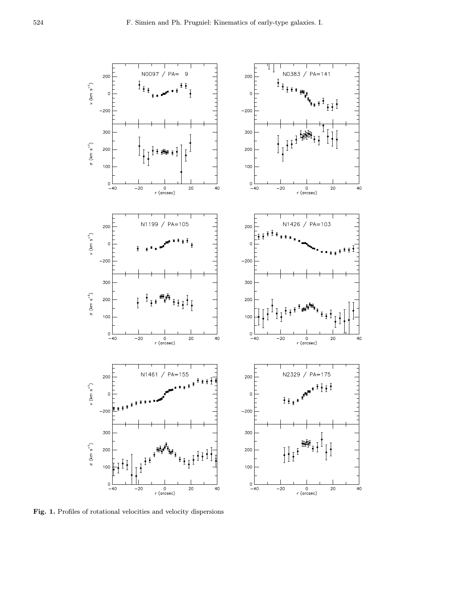

Fig. 1. Profiles of rotational velocities and velocity dispersions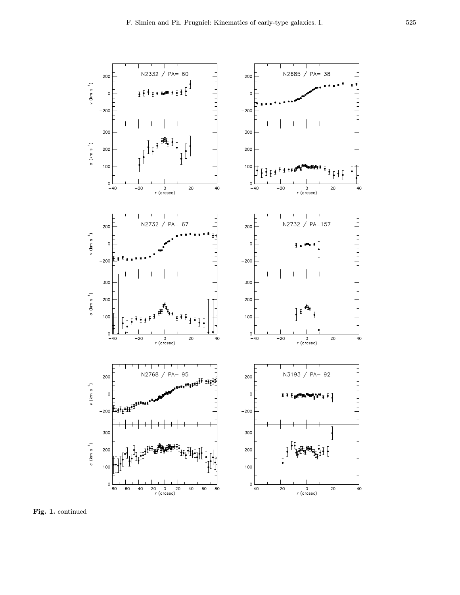

Fig. 1. continued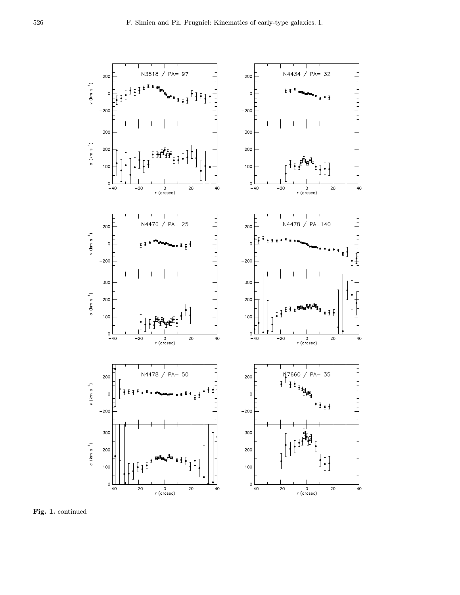

Fig. 1. continued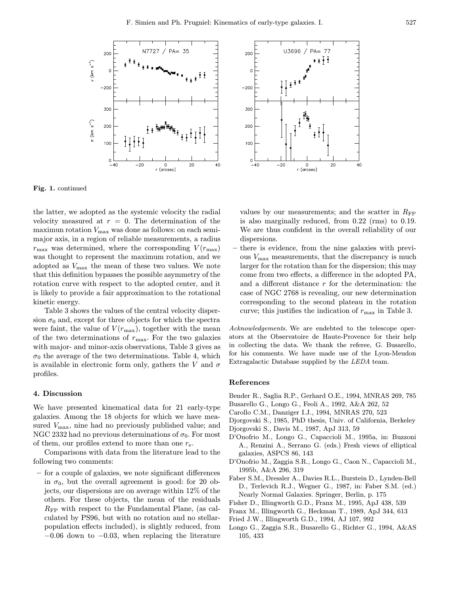

Fig. 1. continued

the latter, we adopted as the systemic velocity the radial velocity measured at  $r = 0$ . The determination of the maximun rotation  $V_{\text{max}}$  was done as follows: on each semimajor axis, in a region of reliable measurements, a radius  $r_{\text{max}}$  was determined, where the corresponding  $V(r_{\text{max}})$ was thought to represent the maximum rotation, and we adopted as  $V_{\text{max}}$  the mean of these two values. We note that this definition bypasses the possible asymmetry of the rotation curve with respect to the adopted center, and it is likely to provide a fair approximation to the rotational kinetic energy.

Table 3 shows the values of the central velocity dispersion  $\sigma_0$  and, except for three objects for which the spectra were faint, the value of  $V(r_{\text{max}})$ , together with the mean of the two determinations of  $r_{\text{max}}$ . For the two galaxies with major- and minor-axis observations, Table 3 gives as  $\sigma_0$  the average of the two determinations. Table 4, which is available in electronic form only, gathers the V and  $\sigma$ profiles.

## 4. Discussion

We have presented kinematical data for 21 early-type galaxies. Among the 18 objects for which we have measured  $V_{\text{max}}$ , nine had no previously published value; and NGC 2332 had no previous determinations of  $\sigma_0$ . For most of them, our profiles extend to more than one  $r_{e}$ .

Comparisons with data from the literature lead to the following two comments:

– for a couple of galaxies, we note significant differences in  $\sigma_0$ , but the overall agreement is good: for 20 objects, our dispersions are on average within 12% of the others. For these objects, the mean of the residuals  $R_{\text{FP}}$  with respect to the Fundamental Plane, (as calculated by PS96, but with no rotation and no stellarpopulation effects included), is slightly reduced, from  $-0.06$  down to  $-0.03$ , when replacing the literature



values by our measurements; and the scatter in  $R_{\text{FP}}$ is also marginally reduced, from 0.22 (rms) to 0.19. We are thus confident in the overall reliability of our dispersions.

– there is evidence, from the nine galaxies with previous  $V_{\text{max}}$  measurements, that the discrepancy is much larger for the rotation than for the dispersion; this may come from two effects, a difference in the adopted PA, and a different distance  $r$  for the determination: the case of NGC 2768 is revealing, our new determination corresponding to the second plateau in the rotation curve; this justifies the indication of  $r_{\text{max}}$  in Table 3.

Acknowledgements. We are endebted to the telescope operators at the Observatoire de Haute-Provence for their help in collecting the data. We thank the referee, G. Busarello, for his comments. We have made use of the Lyon-Meudon Extragalactic Database supplied by the LEDA team.

#### References

Bender R., Saglia R.P., Gerhard O.E., 1994, MNRAS 269, 785

- Busarello G., Longo G., Feoli A., 1992, A&A 262, 52 Carollo C.M., Danziger I.J., 1994, MNRAS 270, 523
- 
- Djorgovski S., 1985, PhD thesis, Univ. of California, Berkeley
- Djorgovski S., Davis M., 1987, ApJ 313, 59
- D'Onofrio M., Longo G., Capaccioli M., 1995a, in: Buzzoni A., Renzini A., Serrano G. (eds.) Fresh views of elliptical galaxies, ASPCS 86, 143
- D'Onofrio M., Zaggia S.R., Longo G., Caon N., Capaccioli M., 1995b, A&A 296, 319
- Faber S.M., Dressler A., Davies R.L., Burstein D., Lynden-Bell D., Terlevich R.J., Wegner G., 1987, in: Faber S.M. (ed.) Nearly Normal Galaxies. Springer, Berlin, p. 175
- Fisher D., Illingworth G.D., Franx M., 1995, ApJ 438, 539
- Franx M., Illingworth G., Heckman T., 1989, ApJ 344, 613
- Fried J.W., Illingworth G.D., 1994, AJ 107, 992
- Longo G., Zaggia S.R., Busarello G., Richter G., 1994, A&AS 105, 433